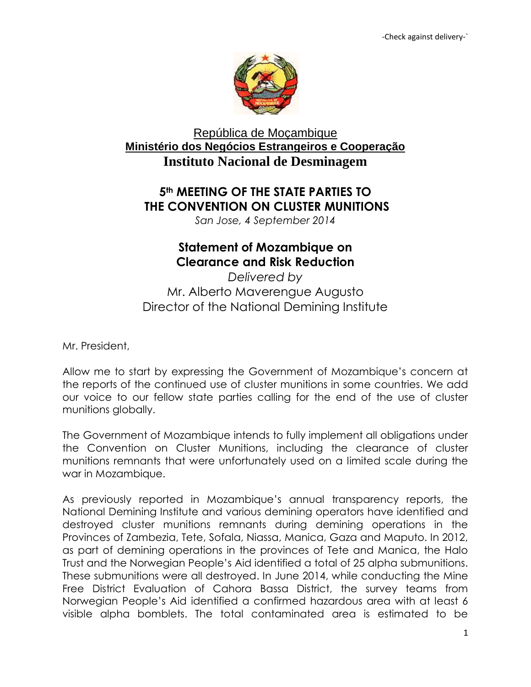

## República de Moçambique **Ministério dos Negócios Estrangeiros e Cooperação Instituto Nacional de Desminagem**

## **5th MEETING OF THE STATE PARTIES TO THE CONVENTION ON CLUSTER MUNITIONS**

*San Jose, 4 September 2014* 

## **Statement of Mozambique on Clearance and Risk Reduction**

*Delivered by* Mr. Alberto Maverengue Augusto Director of the National Demining Institute

Mr. President,

Allow me to start by expressing the Government of Mozambique's concern at the reports of the continued use of cluster munitions in some countries. We add our voice to our fellow state parties calling for the end of the use of cluster munitions globally.

The Government of Mozambique intends to fully implement all obligations under the Convention on Cluster Munitions, including the clearance of cluster munitions remnants that were unfortunately used on a limited scale during the war in Mozambique.

As previously reported in Mozambique's annual transparency reports, the National Demining Institute and various demining operators have identified and destroyed cluster munitions remnants during demining operations in the Provinces of Zambezia, Tete, Sofala, Niassa, Manica, Gaza and Maputo. In 2012, as part of demining operations in the provinces of Tete and Manica, the Halo Trust and the Norwegian People's Aid identified a total of 25 alpha submunitions. These submunitions were all destroyed. In June 2014, while conducting the Mine Free District Evaluation of Cahora Bassa District, the survey teams from Norwegian People's Aid identified a confirmed hazardous area with at least 6 visible alpha bomblets. The total contaminated area is estimated to be